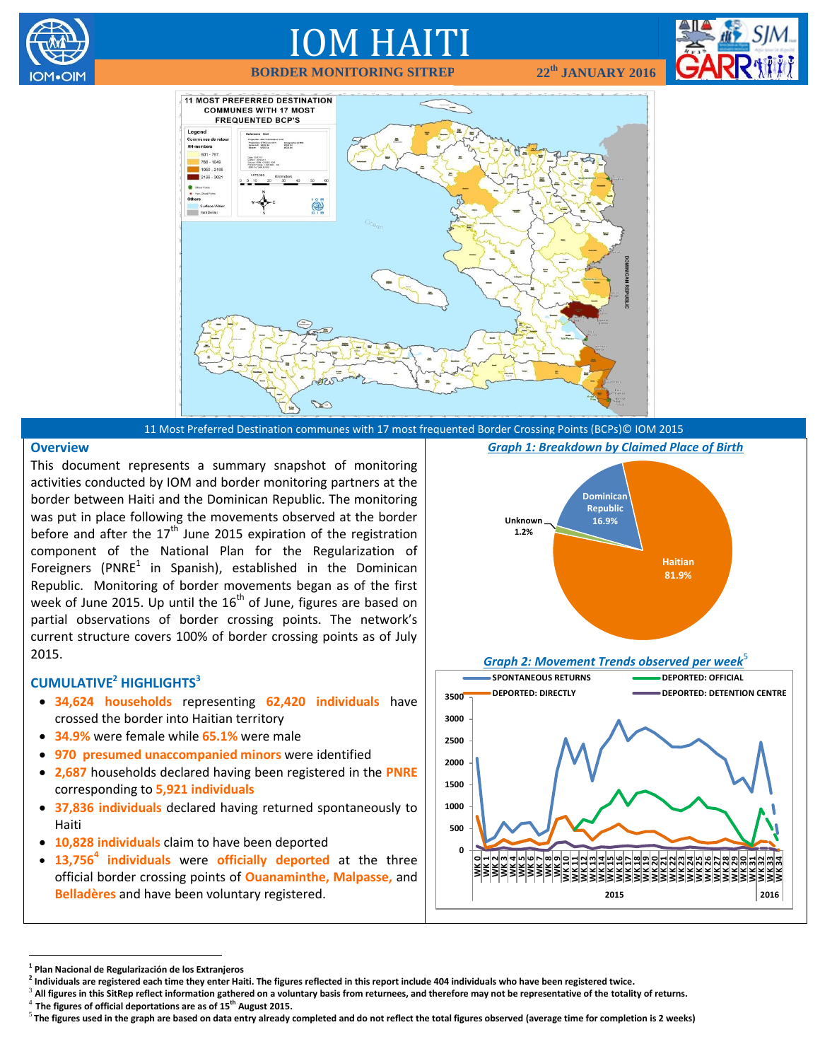

# IOM HAITI

**BORDER MONITORING SITREP 22th**





11 Most Preferred Destination communes with 17 most frequented Border Crossing Points (BCPs)© IOM 2015

#### **Overview**

This document represents a summary snapshot of monitoring activities conducted by IOM and border monitoring partners at the border between Haiti and the Dominican Republic. The monitoring was put in place following the movements observed at the border before and after the  $17<sup>th</sup>$  June 2015 expiration of the registration component of the National Plan for the Regularization of Foreigners (PNRE $^1$  in Spanish), established in the Dominican Republic. Monitoring of border movements began as of the first week of June 2015. Up until the  $16<sup>th</sup>$  of June, figures are based on partial observations of border crossing points. The network's current structure covers 100% of border crossing points as of July 2015.

# **CUMULATIVE<sup>2</sup> HIGHLIGHTS<sup>3</sup>**

- **34,624 households** representing **62,420 individuals** have crossed the border into Haitian territory
- **34.9%** were female while **65.1%** were male
- **970 presumed unaccompanied minors** were identified
- **2,687** households declared having been registered in the **PNRE**  corresponding to **5,921 individuals**
- **37,836 individuals** declared having returned spontaneously to Haiti
- **10,828 individuals** claim to have been deported
- **13,756<sup>4</sup> individuals** were **officially deported** at the three official border crossing points of **Ouanaminthe, Malpasse,** and **Belladères** and have been voluntary registered.

*Graph 1: Breakdown by Claimed Place of Birth*



**2015 2016**

 $\overline{a}$ 

<sup>3</sup> All figures in this SitRep reflect information gathered on a voluntary basis from returnees, and therefore may not be representative of the totality of returns. 4 **The figures of official deportations are as of 15th August 2015.**

**<sup>1</sup> Plan Nacional de Regularización de los Extranjeros**

**<sup>2</sup> Individuals are registered each time they enter Haiti. The figures reflected in this report include 404 individuals who have been registered twice.**

<sup>5</sup> **The figures used in the graph are based on data entry already completed and do not reflect the total figures observed (average time for completion is 2 weeks)**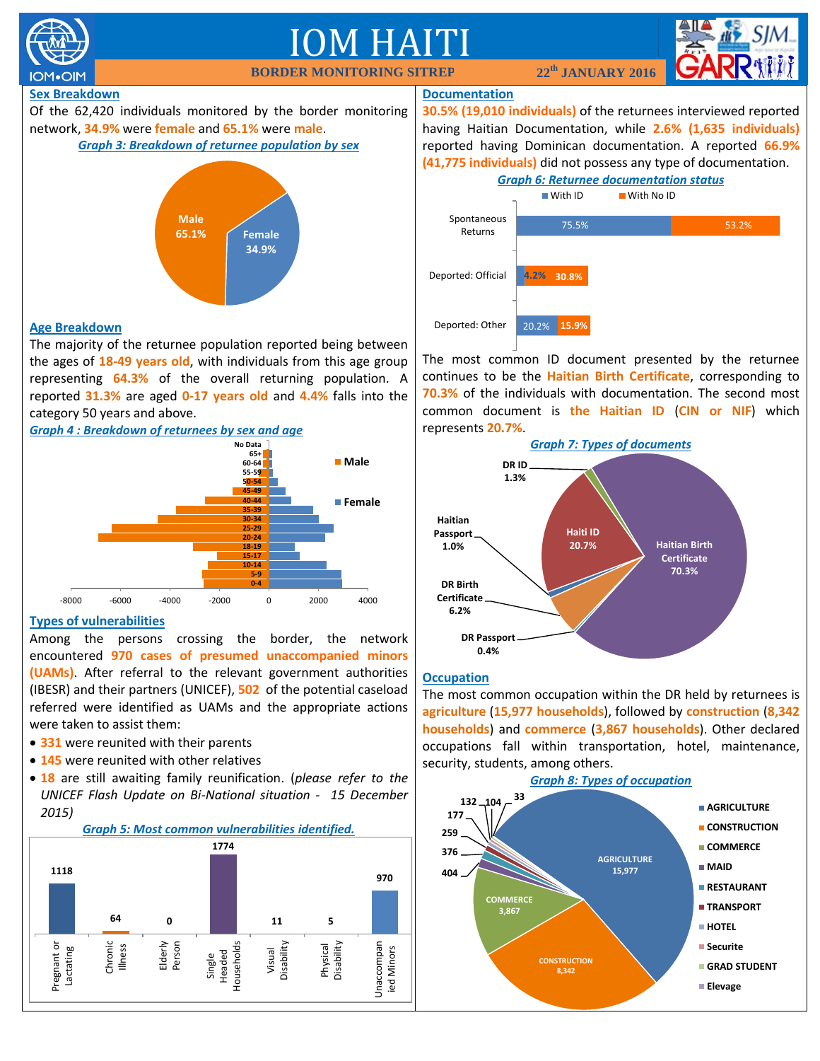

#### **Occupation**

**DR Passport 0.4%**

**Haitian Passport 1.0%**

**DR Birth Certificate 6.2%**

The most common occupation within the DR held by returnees is **agriculture** (**15,977 households**), followed by **construction** (**8,342 households**) and **commerce** (**3,867 households**). Other declared occupations fall within transportation, hotel, maintenance, security, students, among others.

**Haiti ID 20.7%**

**Haitian Birth Certificate 70.3%**



**Types of vulnerabilities**

Among the persons crossing the border, the network encountered **970 cases of presumed unaccompanied minors (UAMs)**. After referral to the relevant government authorities (IBESR) and their partners (UNICEF), **502** of the potential caseload referred were identified as UAMs and the appropriate actions were taken to assist them:

-8000 -6000 -4000 -2000 0 2000 4000

**0-4 5-9 10-14 15-17 18-19 20-24 25-29 30-34**

- **331** were reunited with their parents
- **145** were reunited with other relatives
- **18** are still awaiting family reunification. (*please refer to the UNICEF Flash Update on Bi-National situation - 15 December 2015)*

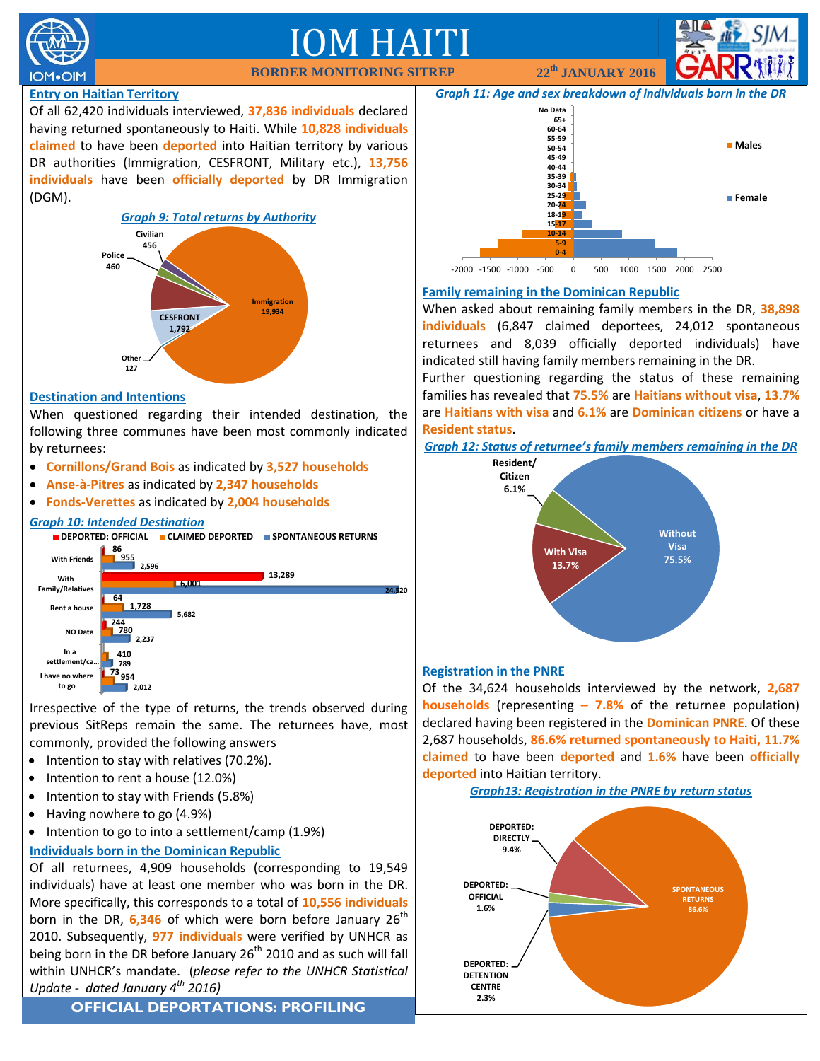

# IM HAITI **BORDER MONITORING SITREP 22th**

**JANUARY 2016**

# **Entry on Haitian Territory**

Of all 62,420 individuals interviewed, **37,836 individuals** declared having returned spontaneously to Haiti. While **10,828 individuals claimed** to have been **deported** into Haitian territory by various DR authorities (Immigration, CESFRONT, Military etc.), **13,756 individuals** have been **officially deported** by DR Immigration (DGM).



#### **Destination and Intentions**

When questioned regarding their intended destination, the following three communes have been most commonly indicated by returnees:

- **Cornillons/Grand Bois** as indicated by **3,527 households**
- **Anse-à-Pitres** as indicated by **2,347 households**
- **Fonds-Verettes** as indicated by **2,004 households**

### *Graph 10: Intended Destination*



Irrespective of the type of returns, the trends observed during previous SitReps remain the same. The returnees have, most commonly, provided the following answers

- Intention to stay with relatives (70.2%).
- Intention to rent a house (12.0%)
- Intention to stay with Friends (5.8%)
- Having nowhere to go (4.9%)
- $\bullet$  Intention to go to into a settlement/camp (1.9%)

#### **Individuals born in the Dominican Republic**

Of all returnees, 4,909 households (corresponding to 19,549 individuals) have at least one member who was born in the DR. More specifically, this corresponds to a total of **10,556 individuals** born in the DR, 6,346 of which were born before January 26<sup>th</sup> 2010. Subsequently, **977 individuals** were verified by UNHCR as being born in the DR before January 26<sup>th</sup> 2010 and as such will fall within UNHCR's mandate. (*please refer to the UNHCR Statistical Update - dated January 4th 2016)*

**OFFICIAL DEPORTATIONS: PROFILING**



### **Family remaining in the Dominican Republic**

When asked about remaining family members in the DR, **38,898 individuals** (6,847 claimed deportees, 24,012 spontaneous returnees and 8,039 officially deported individuals) have indicated still having family members remaining in the DR.

Further questioning regarding the status of these remaining families has revealed that **75.5%** are **Haitians without visa**, **13.7%** are **Haitians with visa** and **6.1%** are **Dominican citizens** or have a **Resident status**.

*Graph 12: Status of returnee's family members remaining in the DR*



#### **Registration in the PNRE**

Of the 34,624 households interviewed by the network, **2,687 households** (representing **– 7.8%** of the returnee population) declared having been registered in the **Dominican PNRE**. Of these 2,687 households, **86.6% returned spontaneously to Haiti, 11.7% claimed** to have been **deported** and **1.6%** have been **officially deported** into Haitian territory.

*Graph13: Registration in the PNRE by return status*

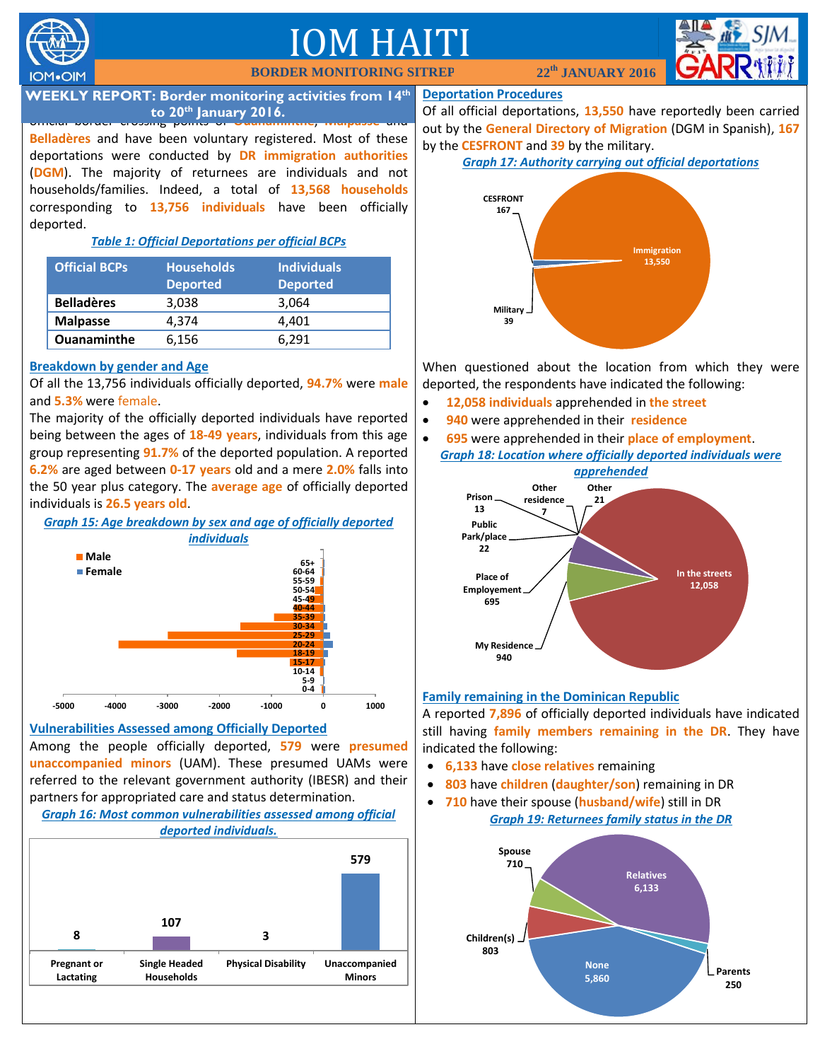

# M HA **BORDER MONITORI**



**WEEKLY REPORT: Border monitoring activities from 14<sup>th</sup><br>2014 <b>12,20th Jonuary 2014** official border crossing points of **Ouanaminthe**, **Malpasse** and **to 20th January 2016.**

**Belladères** and have been voluntary registered. Most of these deportations were conducted by **DR immigration authorities** (**DGM**). The majority of returnees are individuals and not households/families. Indeed, a total of **13,568 households** corresponding to **13,756 individuals** have been officially deported.

# *Table 1: Official Deportations per official BCPs*

| <b>Official BCPs</b> | <b>Households</b><br><b>Deported</b> | <b>Individuals</b><br><b>Deported</b> |
|----------------------|--------------------------------------|---------------------------------------|
| <b>Belladères</b>    | 3,038                                | 3,064                                 |
| <b>Malpasse</b>      | 4.374                                | 4,401                                 |
| <b>Ouanaminthe</b>   | 6,156                                | 6.291                                 |

# **Breakdown by gender and Age**

Of all the 13,756 individuals officially deported, **94.7%** were **male** and **5.3%** were female.

The majority of the officially deported individuals have reported being between the ages of **18-49 years**, individuals from this age group representing **91.7%** of the deported population. A reported **6.2%** are aged between **0-17 years** old and a mere **2.0%** falls into the 50 year plus category. The **average age** of officially deported individuals is **26.5 years old**.

*Graph 15: Age breakdown by sex and age of officially deported* 



# **Vulnerabilities Assessed among Officially Deported**

Among the people officially deported, **579** were **presumed unaccompanied minors** (UAM). These presumed UAMs were referred to the relevant government authority (IBESR) and their partners for appropriated care and status determination.

#### *Graph 16: Most common vulnerabilities assessed among official deported individuals.*



#### **Deportation Procedures**

Of all official deportations, **13,550** have reportedly been carried out by the **General Directory of Migration** (DGM in Spanish), **167** by the **CESFRONT** and **39** by the military.

# *Graph 17: Authority carrying out official deportations*



When questioned about the location from which they were deported, the respondents have indicated the following:

- **12,058 individuals** apprehended in **the street**
- **940** were apprehended in their **residence**
- **695** were apprehended in their **place of employment**. *Graph 18: Location where officially deported individuals were*



# **Family remaining in the Dominican Republic**

A reported **7,896** of officially deported individuals have indicated still having **family members remaining in the DR**. They have indicated the following:

- **6,133** have **close relatives** remaining
- **803** have **children** (**daughter/son**) remaining in DR
- **710** have their spouse (**husband/wife**) still in DR *Graph 19: Returnees family status in the DR*